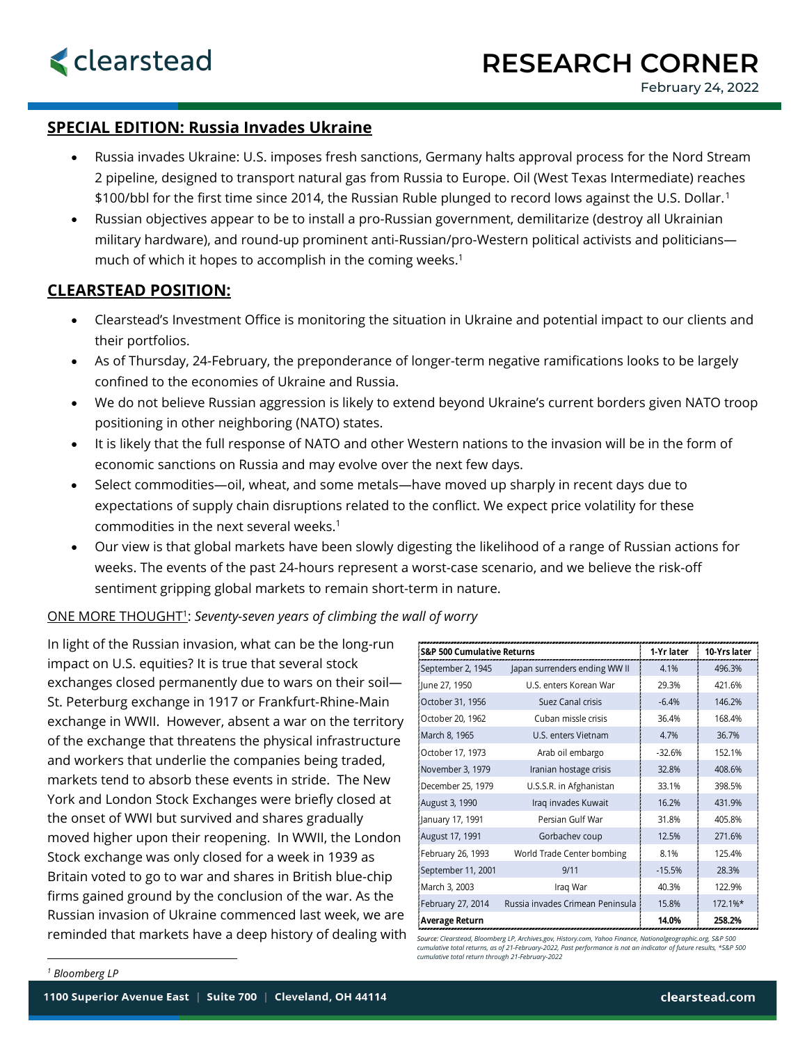## **SPECIAL EDITION: Russia Invades Ukraine**

- Russia invades Ukraine: U.S. imposes fresh sanctions, Germany halts approval process for the Nord Stream 2 pipeline, designed to transport natural gas from Russia to Europe. Oil (West Texas Intermediate) reaches \$100/bbl for the first time since 2014, the Russian Ruble plunged to record lows against the U.S. Dollar.[1](#page-0-0)
- Russian objectives appear to be to install a pro-Russian government, demilitarize (destroy all Ukrainian military hardware), and round-up prominent anti-Russian/pro-Western political activists and politicians much of which it hopes to accomplish in the coming weeks.<sup>1</sup>

## **CLEARSTEAD POSITION:**

- Clearstead's Investment Office is monitoring the situation in Ukraine and potential impact to our clients and their portfolios.
- As of Thursday, 24-February, the preponderance of longer-term negative ramifications looks to be largely confined to the economies of Ukraine and Russia.
- We do not believe Russian aggression is likely to extend beyond Ukraine's current borders given NATO troop positioning in other neighboring (NATO) states.
- It is likely that the full response of NATO and other Western nations to the invasion will be in the form of economic sanctions on Russia and may evolve over the next few days.
- Select commodities—oil, wheat, and some metals—have moved up sharply in recent days due to expectations of supply chain disruptions related to the conflict. We expect price volatility for these commodities in the next several weeks.1
- Our view is that global markets have been slowly digesting the likelihood of a range of Russian actions for weeks. The events of the past 24-hours represent a worst-case scenario, and we believe the risk-off sentiment gripping global markets to remain short-term in nature.

## ONE MORE THOUGHT1: *Seventy-seven years of climbing the wall of worry*

In light of the Russian invasion, what can be the long-run impact on U.S. equities? It is true that several stock exchanges closed permanently due to wars on their soil— St. Peterburg exchange in 1917 or Frankfurt-Rhine-Main exchange in WWII. However, absent a war on the territory of the exchange that threatens the physical infrastructure and workers that underlie the companies being traded, markets tend to absorb these events in stride. The New York and London Stock Exchanges were briefly closed at the onset of WWI but survived and shares gradually moved higher upon their reopening. In WWII, the London Stock exchange was only closed for a week in 1939 as Britain voted to go to war and shares in British blue-chip firms gained ground by the conclusion of the war. As the Russian invasion of Ukraine commenced last week, we are

| <b>S&amp;P 500 Cumulative Returns</b> |                                  | 1-Yr later | 10-Yrs later |
|---------------------------------------|----------------------------------|------------|--------------|
| September 2, 1945                     | Japan surrenders ending WW II    | 4.1%       | 496.3%       |
| June 27, 1950                         | U.S. enters Korean War           | 29.3%      | 421.6%       |
| October 31, 1956                      | Suez Canal crisis                | $-6.4%$    | 146.2%       |
| October 20, 1962                      | Cuban missle crisis              | 36.4%      | 168.4%       |
| March 8, 1965                         | U.S. enters Vietnam              | 4.7%       | 36.7%        |
| October 17, 1973                      | Arab oil embargo                 | $-32.6%$   | 152.1%       |
| November 3, 1979                      | Iranian hostage crisis           | 32.8%      | 408.6%       |
| December 25, 1979                     | U.S.S.R. in Afghanistan          | 33.1%      | 398.5%       |
| August 3, 1990                        | Iraq invades Kuwait              | 16.2%      | 431.9%       |
| January 17, 1991                      | Persian Gulf War                 | 31.8%      | 405.8%       |
| August 17, 1991                       | Gorbachev coup                   | 12.5%      | 271.6%       |
| February 26, 1993                     | World Trade Center bombing       | 8.1%       | 125.4%       |
| September 11, 2001                    | 9/11                             | $-15.5%$   | 28.3%        |
| March 3, 2003                         | Iraq War                         | 40.3%      | 122.9%       |
| February 27, 2014                     | Russia invades Crimean Peninsula | 15.8%      | 172.1%*      |
| Average Return                        |                                  | 14.0%      | 258.2%       |

<span id="page-0-0"></span>reminded that markets have a deep history of dealing with source: Clearstead, Bloomberg LP, Archives.gov, History.com, Yahoo Finance, Nationalgeographic.org, S&P 500<br>cumulative total returns, as of 21-February-2022, Past p *cumulative total return through 21-February-2022*